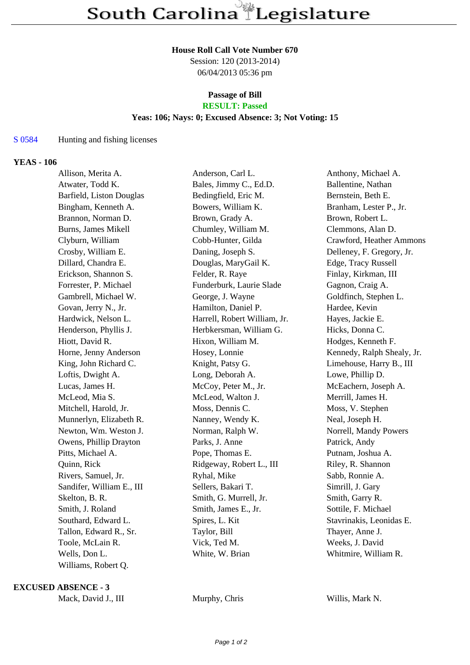#### **House Roll Call Vote Number 670**

Session: 120 (2013-2014) 06/04/2013 05:36 pm

#### **Passage of Bill RESULT: Passed**

## **Yeas: 106; Nays: 0; Excused Absence: 3; Not Voting: 15**

## S 0584 Hunting and fishing licenses

## **YEAS - 106**

| Allison, Merita A.        | Anderson, Carl L.            | Anthony, Michael A.        |
|---------------------------|------------------------------|----------------------------|
| Atwater, Todd K.          | Bales, Jimmy C., Ed.D.       | Ballentine, Nathan         |
| Barfield, Liston Douglas  | Bedingfield, Eric M.         | Bernstein, Beth E.         |
| Bingham, Kenneth A.       | Bowers, William K.           | Branham, Lester P., Jr.    |
| Brannon, Norman D.        | Brown, Grady A.              | Brown, Robert L.           |
| Burns, James Mikell       | Chumley, William M.          | Clemmons, Alan D.          |
| Clyburn, William          | Cobb-Hunter, Gilda           | Crawford, Heather Ammons   |
| Crosby, William E.        | Daning, Joseph S.            | Delleney, F. Gregory, Jr.  |
| Dillard, Chandra E.       | Douglas, MaryGail K.         | Edge, Tracy Russell        |
| Erickson, Shannon S.      | Felder, R. Raye              | Finlay, Kirkman, III       |
| Forrester, P. Michael     | Funderburk, Laurie Slade     | Gagnon, Craig A.           |
| Gambrell, Michael W.      | George, J. Wayne             | Goldfinch, Stephen L.      |
| Govan, Jerry N., Jr.      | Hamilton, Daniel P.          | Hardee, Kevin              |
| Hardwick, Nelson L.       | Harrell, Robert William, Jr. | Hayes, Jackie E.           |
| Henderson, Phyllis J.     | Herbkersman, William G.      | Hicks, Donna C.            |
| Hiott, David R.           | Hixon, William M.            | Hodges, Kenneth F.         |
| Horne, Jenny Anderson     | Hosey, Lonnie                | Kennedy, Ralph Shealy, Jr. |
| King, John Richard C.     | Knight, Patsy G.             | Limehouse, Harry B., III   |
| Loftis, Dwight A.         | Long, Deborah A.             | Lowe, Phillip D.           |
| Lucas, James H.           | McCoy, Peter M., Jr.         | McEachern, Joseph A.       |
| McLeod, Mia S.            | McLeod, Walton J.            | Merrill, James H.          |
| Mitchell, Harold, Jr.     | Moss, Dennis C.              | Moss, V. Stephen           |
| Munnerlyn, Elizabeth R.   | Nanney, Wendy K.             | Neal, Joseph H.            |
| Newton, Wm. Weston J.     | Norman, Ralph W.             | Norrell, Mandy Powers      |
| Owens, Phillip Drayton    | Parks, J. Anne               | Patrick, Andy              |
| Pitts, Michael A.         | Pope, Thomas E.              | Putnam, Joshua A.          |
| Quinn, Rick               | Ridgeway, Robert L., III     | Riley, R. Shannon          |
| Rivers, Samuel, Jr.       | Ryhal, Mike                  | Sabb, Ronnie A.            |
| Sandifer, William E., III | Sellers, Bakari T.           | Simrill, J. Gary           |
| Skelton, B. R.            | Smith, G. Murrell, Jr.       | Smith, Garry R.            |
| Smith, J. Roland          | Smith, James E., Jr.         | Sottile, F. Michael        |
| Southard, Edward L.       | Spires, L. Kit               | Stavrinakis, Leonidas E.   |
| Tallon, Edward R., Sr.    | Taylor, Bill                 | Thayer, Anne J.            |
| Toole, McLain R.          | Vick, Ted M.                 | Weeks, J. David            |
| Wells, Don L.             | White, W. Brian              | Whitmire, William R.       |
| Williams, Robert Q.       |                              |                            |

### **EXCUSED ABSENCE - 3**

Mack, David J., III Murphy, Chris Willis, Mark N.